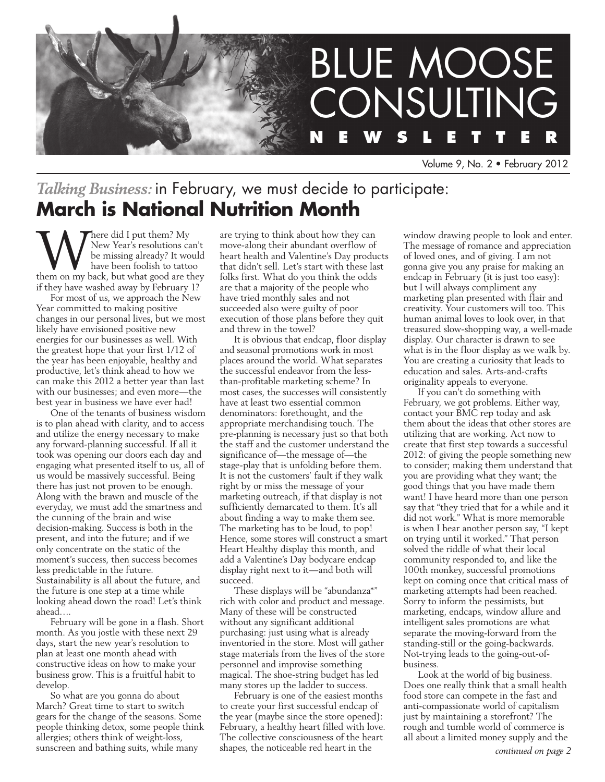

Volume 9, No. 2 • February 2012

# *Talking Business:* in February, we must decide to participate: **March is National Nutrition Month**

Where did I put them? My<br>
be missing already? It would<br>
have been foolish to tattoo<br>
them on my back, but what good are they New Year's resolutions can't be missing already? It would have been foolish to tattoo if they have washed away by February 1?

For most of us, we approach the New Year committed to making positive changes in our personal lives, but we most likely have envisioned positive new energies for our businesses as well. With the greatest hope that your first 1/12 of the year has been enjoyable, healthy and productive, let's think ahead to how we can make this 2012 a better year than last with our businesses; and even more—the best year in business we have ever had!

One of the tenants of business wisdom is to plan ahead with clarity, and to access and utilize the energy necessary to make any forward-planning successful. If all it took was opening our doors each day and engaging what presented itself to us, all of us would be massively successful. Being there has just not proven to be enough. Along with the brawn and muscle of the everyday, we must add the smartness and the cunning of the brain and wise decision-making. Success is both in the present, and into the future; and if we only concentrate on the static of the moment's success, then success becomes less predictable in the future. Sustainability is all about the future, and the future is one step at a time while looking ahead down the road! Let's think ahead….

February will be gone in a flash. Short month. As you jostle with these next 29 days, start the new year's resolution to plan at least one month ahead with constructive ideas on how to make your business grow. This is a fruitful habit to develop.

So what are you gonna do about March? Great time to start to switch gears for the change of the seasons. Some people thinking detox, some people think allergies; others think of weight-loss, sunscreen and bathing suits, while many

are trying to think about how they can move-along their abundant overflow of heart health and Valentine's Day products that didn't sell. Let's start with these last folks first. What do you think the odds are that a majority of the people who have tried monthly sales and not succeeded also were guilty of poor execution of those plans before they quit and threw in the towel?

It is obvious that endcap, floor display and seasonal promotions work in most places around the world. What separates the successful endeavor from the lessthan-profitable marketing scheme? In most cases, the successes will consistently have at least two essential common denominators: forethought, and the appropriate merchandising touch. The pre-planning is necessary just so that both the staff and the customer understand the significance of—the message of—the stage-play that is unfolding before them. It is not the customers' fault if they walk right by or miss the message of your marketing outreach, if that display is not sufficiently demarcated to them. It's all about finding a way to make them see. The marketing has to be loud, to pop! Hence, some stores will construct a smart Heart Healthy display this month, and add a Valentine's Day bodycare endcap display right next to it—and both will succeed.

These displays will be "abundanza\*" rich with color and product and message. Many of these will be constructed without any significant additional purchasing: just using what is already inventoried in the store. Most will gather stage materials from the lives of the store personnel and improvise something magical. The shoe-string budget has led many stores up the ladder to success.

February is one of the easiest months to create your first successful endcap of the year (maybe since the store opened): February, a healthy heart filled with love. The collective consciousness of the heart shapes, the noticeable red heart in the

window drawing people to look and enter. The message of romance and appreciation of loved ones, and of giving. I am not gonna give you any praise for making an endcap in February (it is just too easy): but I will always compliment any marketing plan presented with flair and creativity. Your customers will too. This human animal loves to look over, in that treasured slow-shopping way, a well-made display. Our character is drawn to see what is in the floor display as we walk by. You are creating a curiosity that leads to education and sales. Arts-and-crafts originality appeals to everyone.

If you can't do something with February, we got problems. Either way, contact your BMC rep today and ask them about the ideas that other stores are utilizing that are working. Act now to create that first step towards a successful 2012: of giving the people something new to consider; making them understand that you are providing what they want; the good things that you have made them want! I have heard more than one person say that "they tried that for a while and it did not work." What is more memorable is when I hear another person say, "I kept on trying until it worked." That person solved the riddle of what their local community responded to, and like the 100th monkey, successful promotions kept on coming once that critical mass of marketing attempts had been reached. Sorry to inform the pessimists, but marketing, endcaps, window allure and intelligent sales promotions are what separate the moving-forward from the standing-still or the going-backwards. Not-trying leads to the going-out-ofbusiness.

Look at the world of big business. Does one really think that a small health food store can compete in the fast and anti-compassionate world of capitalism just by maintaining a storefront? The rough and tumble world of commerce is all about a limited money supply and the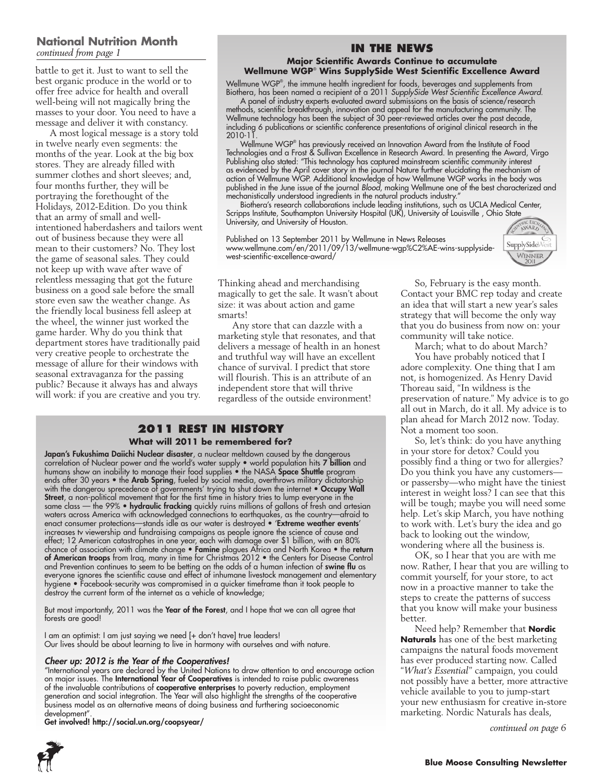### **National Nutrition Month** *continued from page 1*

battle to get it. Just to want to sell the best organic produce in the world or to offer free advice for health and overall well-being will not magically bring the masses to your door. You need to have a message and deliver it with constancy.

A most logical message is a story told in twelve nearly even segments: the months of the year. Look at the big box stores. They are already filled with summer clothes and short sleeves; and, four months further, they will be portraying the forethought of the Holidays, 2012-Edition. Do you think that an army of small and wellintentioned haberdashers and tailors went out of business because they were all mean to their customers? No. They lost the game of seasonal sales. They could not keep up with wave after wave of relentless messaging that got the future business on a good sale before the small store even saw the weather change. As the friendly local business fell asleep at the wheel, the winner just worked the game harder. Why do you think that department stores have traditionally paid very creative people to orchestrate the message of allure for their windows with seasonal extravaganza for the passing public? Because it always has and always will work: if you are creative and you try.

### **In the News Major Scientific Awards Continue to accumulate**

# **Wellmune WGP**®  **Wins SupplySide West Scientific Excellence Award**

Wellmune WGP® , the immune health ingredient for foods, beverages and supplements from Biothera, has been named a recipient of a 2011 *SupplySide West Scientific Excellence Award.*

A panel of industry experts evaluated award submissions on the basis of science/research methods, scientific breakthrough, innovation and appeal for the manufacturing community. The Wellmune technology has been the subject of 30 peer-reviewed articles over the past decade, including 6 publications or scientific conference presentations of original clinical research in the  $2010 - 11$ 

Wellmune WGP® has previously received an Innovation Award from the Institute of Food Technologies and a Frost & Sullivan Excellence in Research Award. In presenting the Award, Virgo Publishing also stated: "This technology has captured mainstream scientific community interest as evidenced by the April cover story in the journal Nature further elucidating the mechanism of action of Wellmune WGP. Additional knowledge of how Wellmune WGP works in the body was published in the June issue of the journal *Blood*, making Wellmune one of the best characterized and mechanistically understood ingredients in the natural products industry."

Biothera's research collaborations include leading institutions, such as UCLA Medical Center, Scripps Institute, Southampton University Hospital (UK), University of Louisville , Ohio State University, and University of Houston.

Published on 13 September 2011 by Wellmune in News Releases www.wellmune.com/en/2011/09/13/wellmune-wgp%C2%AE-wins-supplysidewest-scientific-excellence-award/



So, February is the easy month. Contact your BMC rep today and create an idea that will start a new year's sales strategy that will become the only way that you do business from now on: your

March; what to do about March? You have probably noticed that I adore complexity. One thing that I am not, is homogenized. As Henry David Thoreau said, "In wildness is the

preservation of nature." My advice is to go all out in March, do it all. My advice is to plan ahead for March 2012 now. Today.

So, let's think: do you have anything

in your store for detox? Could you possibly find a thing or two for allergies? Do you think you have any customers or passersby—who might have the tiniest interest in weight loss? I can see that this will be tough; maybe you will need some help. Let's skip March, you have nothing to work with. Let's bury the idea and go back to looking out the window, wondering where all the business is. OK, so I hear that you are with me now. Rather, I hear that you are willing to commit yourself, for your store, to act now in a proactive manner to take the steps to create the patterns of success that you know will make your business

community will take notice.

Not a moment too soon.

better.

Thinking ahead and merchandising magically to get the sale. It wasn't about size: it was about action and game smarts!

Any store that can dazzle with a marketing style that resonates, and that delivers a message of health in an honest and truthful way will have an excellent chance of survival. I predict that store will flourish. This is an attribute of an independent store that will thrive regardless of the outside environment!

#### **2011 Rest in History What will 2011 be remembered for?**

**Japan's Fukushima Daiichi Nuclear disaster**, a nuclear meltdown caused by the dangerous correlation of Nuclear power and the world's water supply  $\bullet$  world population hits **7 billion** and humans show an inability to manage their food supplies  $\bullet$  the NASA **Space Shuttle** program ends after 30 years • the **Arab Spring**, fueled by social media, overthrows military dictatorship with the dangerou sprecedence of governments' trying to shut down the internet • Occupy Wall **Street**, a non-political movement that for the first time in history tries to lump everyone in the same class — the 99% • **hydraulic fracking** quickly ruins millions of gallons of fresh and artesian waters across America with acknowledged connections to earthquakes, as the country—afraid to enact consumer protections—stands idle as our water is destroyed • 'Extreme weather events' increases tv viewership and fundraising campaigns as people ignore the science of cause and effect; 12 American catastrophes in one year, each with damage over \$1 billion, with an 80% chance of association with climate change • Famine plagues Africa and North Korea • the return of American troops from Iraq, many in time for Christmas 2012 • the Centers for Disease Control and Prevention continues to seem to be betting on the odds of a human infection of **swine flu** as everyone ignores the scientific cause and effect of inhumane livestock management and elementary hygiene • Facebook-security was compromised in a quicker timeframe than it took people to destroy the current form of the internet as a vehicle of knowledge;

But most importantly, 2011 was the Year of the Forest, and I hope that we can all agree that forests are good!

I am an optimist: I am just saying we need [+ don't have] true leaders! Our lives should be about learning to live in harmony with ourselves and with nature.

#### *Cheer up: 2012 is the Year of the Cooperatives!*

"International years are declared by the United Nations to draw attention to and encourage action on major issues. The International Year of Cooperatives is intended to raise public awareness of the invaluable contributions of **cooperative enterprises** to poverty reduction, employment generation and social integration. The Year will also highlight the strengths of the cooperative business model as an alternative means of doing business and furthering socioeconomic development".

Get involved! http://social.un.org/coopsyear/



Need help? Remember that **Nordic Naturals** has one of the best marketing campaigns the natural foods movement has ever produced starting now. Called "*What's Essential*" campaign, you could not possibly have a better, more attractive vehicle available to you to jump-start your new enthusiasm for creative in-store marketing. Nordic Naturals has deals,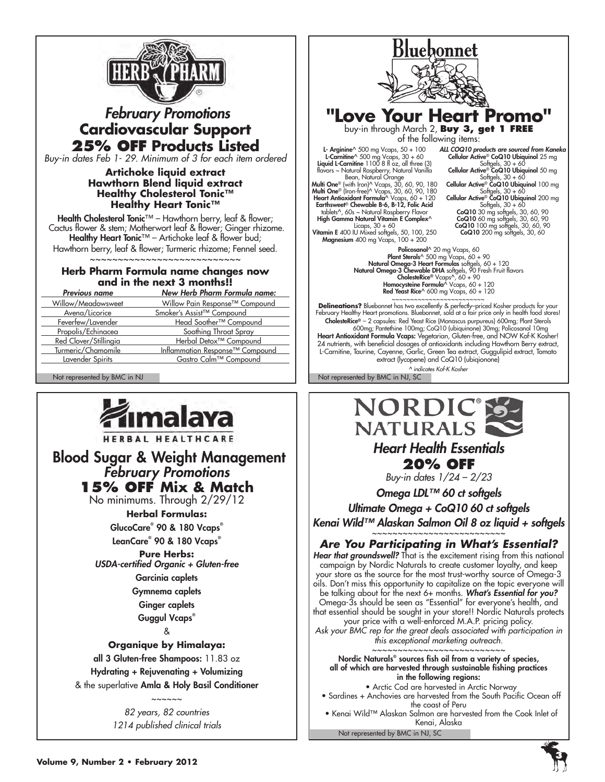

# *February Promotions* **Cardiovascular Support 25% OFF Products Listed**

*Buy-in dates Feb 1- 29. Minimum of 3 for each item ordered*

#### **Artichoke liquid extract Hawthorn Blend liquid extract Healthy Cholesterol Tonic™ Healthy Heart Tonic™**

Health Cholesterol Tonic™ - Hawthorn berry, leaf & flower; Cactus flower & stem; Motherwort leaf & flower; Ginger rhizome. Healthy Heart Tonic™ – Artichoke leaf & flower bud; Hawthorn berry, leaf & flower; Turmeric rhizome; Fennel seed. ~~~~~~~~~~~~~~~~~~~~~~~~~~~

### **Herb Pharm Formula name changes now and in the next 3 months!!**

| <b>Previous name</b>  | <b>New Herb Pharm Formula name:</b>    |
|-----------------------|----------------------------------------|
| Willow/Meadowsweet    | Willow Pain Response™ Compound         |
| Avena/Licorice        | Smoker's Assist™ Compound              |
| Feverfew/Lavender     | Head Soother <sup>™</sup> Compound     |
| Propolis/Echinacea    | Soothing Throat Spray                  |
| Red Clover/Stillingia | Herbal Detox <sup>™</sup> Compound     |
| Turmeric/Chamomile    | <b>Inflammation Response™ Compound</b> |
| Lavender Spirits      | Gastro Calm™ Compound                  |



HERBAL HEALTHCARE

 Blood Sugar & Weight Management *February Promotions* **15% OFF Mix & Match**

No minimums. Through 2/29/12

**Herbal Formulas:**

GlucoCare® 90 & 180 Vcaps® LeanCare® 90 & 180 Vcaps®

**Pure Herbs:** *USDA-certified Organic + Gluten-free*

> Garcinia caplets Gymnema caplets Ginger caplets

Guggul Vcaps®

&

### **Organique by Himalaya:**

all 3 Gluten-free Shampoos: 11.83 oz Hydrating + Rejuvenating + Volumizing & the superlative Amla & Holy Basil Conditioner

> ~~~~~~ *82 years, 82 countries 1214 published clinical trials*

Bluebonnet **"Love Your Heart Promo"** buy-in through March 2, **Buy 3, get 1 FREE** of the following items: *ALL COQ10 products are sourced from Kaneka* L- Arginine^ 500 mg Vcaps, 50 + 100<br>Liquid L-Carnitine^ 500 mg Vcaps, 30 + 60<br>Liquid L-Carnitine 1100 8 fl oz, all three (3)<br>flavors ~ Natural Raspberry, Natural Vanilla<br>Multi One® (with Iron)^ Vcaps, 30, 60, 90, 180<br>Mult Cellular Active® CoQ10 Ubiquinol 25 mg Softgels, 30 + 60 Cellular Active® CoQ10 Ubiquinol 50 mg Softgels, 30 + 60<br>Cellular Active® CoQ10 Ubiquinol 100 mg<br>Softgels, 30 + 60<br>Cellular Active® CoQ10 Ubiquinol 200 mg Softgels, 30 + 60<br> **CoQ10** 30 mg softgels, 30, 60, 90<br> **CoQ10** 60 mg softgels, 30, 60, 90<br> **CoQ10** 200 mg softgels, 30, 60<br> **CoQ10** 200 mg softgels, 30, 60 High Gamma Natural Vitamin E Complex<sup>^</sup> Licaps, 30 + 60<br>**Vitamin E** 400 IU Mixed softgels, 50, 100, 250<br>**Magnesium** 400 mg Vcaps, 100 + 200 Policosanol^ 20 mg Vcaps, 60<br>Plant Strels<sup>c</sup>^ 500 mg Vcaps, 60 + 90<br>**Plant Strels - 3 Heart Formulas** softgels, 60 + 120<br>**Natural Omega-3 Chewable DHA** softgels, 90 Fresh Fruit flavors<br>**CholesteRice®** Vcaps^, 60 + 90<br>Homoc Red Yeast Rice^ 600 mg Vcaps, 60 + 120~~~~~~~~~~~~~~~~~~~~~~~~~ **Delineations?** Bluebonnet has two excellently & perfectly–priced Kosher products for your February Healthy Heart promotions. Bluebonnet, sold at a fair price only in health food stores! C**holesteRice®** – 2 capsules: Red Yeast Rice (Monascus purpureus) 600mg; Plant Sterols<br>600mg; Pantethine 100mg; CoQ10 (ubiquinone) 30mg; Policosanol 10mg<br>**Heart Antioxidant Formula Vcaps:** Vegetarian, Gluten-free, and NOW

24 nutrients, with beneficial dosages of antioxidants including Hawthorn Berry extract, L-Carnitine, Taurine, Cayenne, Garlic, Green Tea extract, Guggulipid extract, Tomato extract (lycopene) and CoQ10 (ubiqionone) *^ indicates Kof-K Kosher*

Not represented by BMC in NJ Not represented by BMC in NJ, SC



Hear that groundswell? That is the excitement rising from this national campaign by Nordic Naturals to create customer loyalty, and keep your store as the source for the most trust-worthy source of Omega-3 oils. Don't miss this opportunity to capitalize on the topic everyone will be talking about for the next 6+ months. *What's Essential for you?*

Omega-3s should be seen as "Essential" for everyone's health, and that essential should be sought in your store!! Nordic Naturals protects your price with a well-enforced M.A.P. pricing policy.

*Ask your BMC rep for the great deals associated with participation in this exceptional marketing outreach.*

~~~~~~~~~~~~~~~~~~~~~~~~~~ Nordic Naturals® sources fish oil from a variety of species, all of which are harvested through sustainable fishing practices in the following regions:

 • Arctic Cod are harvested in Arctic Norway • Sardines + Anchovies are harvested from the South Pacific Ocean off the coast of Peru • Kenai Wild™ Alaskan Salmon are harvested from the Cook Inlet of

Not represented by BMC in NJ, SC Kenai, Alaska

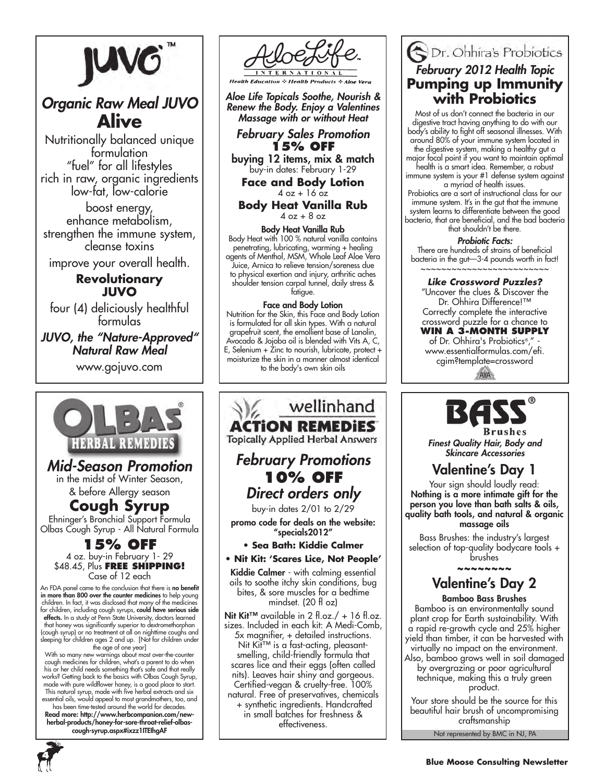

# *Organic Raw Meal JUVO*  **Alive**

Nutritionally balanced unique formulation "fuel" for all lifestyles rich in raw, organic ingredients low-fat, low-calorie

boost energy, enhance metabolism, strengthen the immune system, cleanse toxins

improve your overall health.

### **Revolutionary JUVO**

four (4) deliciously healthful formulas

### *JUVO, the "Nature-Approved" Natural Raw Meal*

www.gojuvo.com



# *Mid-Season Promotion* in the midst of Winter Season,

& before Allergy season

**Cough Syrup** Ehninger's Bronchial Support Formula Olbas Cough Syrup - All Natural Formula

## **15% OFF**<br>4 oz. buy-in February 1- 29 \$48.45, Plus **Free Shipping!** Case of 12 each

An FDA panel came to the conclusion that there is no benefit in more than 800 over the counter medicines to help young children. In fact, it was disclosed that many of the medicines for children, including cough syrups, could have serious side **effects.** In a study at Penn State University, doctors learned<br>that honey was significantly superior to dextromethorphan (cough syrup) or no treatment at all on nighttime coughs and<br>sleeping for children ages 2 and up. [Not for children under<br>the age of one year]<br>With so many new warnings about most over-the-counter<br>cough medicines for child

his or her child needs something that's safe and that really works? Getting back to the basics with Olbas Cough Syrup, made with pure wildflower honey, is a good place to start. This natural syrup, made with five herbal extracts and six essential oils, would appeal to most grandmothers, too, and

has been time-tested around the world for decades. Read more: http://www.herbcompanion.com/newherbal-products/honey-for-sore-throat-relief-olbascough-syrup.aspx#ixzz1ITEIhgAF



**Health Products** 

*Aloe Life Topicals Soothe, Nourish & Renew the Body. Enjoy a Valentines Massage with or without Heat*

### *February Sales Promotion* **15% OFF**

buying 12 items, mix & match buy-in dates: February 1-29

**Face and Body Lotion**  $4$  oz + 16  $\sigma$ z

**Body Heat Vanilla Rub**  $4$  oz  $+8$  oz

Body Heat Vanilla Rub Body Heat with 100 % natural vanilla contains penetrating, lubricating, warming + healing agents of Menthol, MSM, Whole Leaf Aloe Vera Juice, Arnica to relieve tension/soreness due to physical exertion and injury, arthritic aches shoulder tension carpal tunnel, daily stress & fatigue.

#### Face and Body Lotion

Nutrition for the Skin, this Face and Body Lotion is formulated for all skin types. With a natural grapefruit scent, the emollient base of Lanolin, Avocado & Jojoba oil is blended with Vits A, C, E, Selenium + Zinc to nourish, lubricate, protect + moisturize the skin in a manner almost identical to the body's own skin oils

# wellinhand **ACTION REMEDIES Topically Applied Herbal Answers** *February Promotions* **10% OFF** *Direct orders only*

buy-in dates 2/01 to 2/29

promo code for deals on the website: "specials2012"

- **Sea Bath: Kiddie Calmer**
- **Nit Kit: 'Scares Lice, Not People'**

Kiddie Calmer - with calming essential oils to soothe itchy skin conditions, bug bites, & sore muscles for a bedtime mindset. (20 fl oz)

Nit Kit™ available in  $2 \text{ fl.oz.} / + 16 \text{ fl.oz.}$ sizes. Included in each kit: A Medi-Comb, 5x magnifier, + detailed instructions. Nit Kit™ is a fast-acting, pleasantsmelling, child-friendly formula that scares lice and their eggs (often called nits). Leaves hair shiny and gorgeous. Certified-vegan & cruelty-free. 100% natural. Free of preservatives, chemicals + synthetic ingredients. Handcrafted in small batches for freshness &

# Dr. Ohhira's Probiotics *February 2012 Health Topic* **Pumping up Immunity with Probiotics**

Most of us don't connect the bacteria in our digestive tract having anything to do with our body's ability to fight off seasonal illnesses. With around 80% of your immune system located in the digestive system, making  $\alpha$  healthy gut a

major focal point if you want to maintain optimal health is a smart idea. Remember, a robust

immune system is your #1 defense system against a myriad of health issues.

Probiotics are a sort of instructional class for our immune system. It's in the gut that the immune system learns to differentiate between the good bacteria, that are beneficial, and the bad bacteria that shouldn't be there.

*Probiotic Facts:*

There are hundreds of strains of beneficial bacteria in the gut—3-4 pounds worth in fact! ~~~~~~~~~~~~~~~~~~~~~~~

#### *Like Crossword Puzzles?*

"Uncover the clues & Discover the Dr. Ohhira Difference!™ Correctly complete the interactive crossword puzzle for a chance to **WIN A 3-MONTH SUPPLY** of Dr. Ohhira's Probiotics®, www.essentialformulas.com/efi. cgim?template=crosswordAVA



*Finest Quality Hair, Body and Skincare Accessories*

# Valentine's Day 1

Your sign should loudly read: Nothing is a more intimate gift for the person you love than bath salts & oils, quality bath tools, and natural & organic massage oils

Bass Brushes: the industry's largest selection of top-quality bodycare tools + brushes

~~~~~~~~

# Valentine's Day 2

Bamboo Bass Brushes Bamboo is an environmentally sound plant crop for Earth sustainability. With a rapid re-growth cycle and 25% higher yield than timber, it can be harvested with virtually no impact on the environment. Also, bamboo grows well in soil damaged by overgrazing or poor agricultural technique, making this a truly green product.

Your store should be the source for this beautiful hair brush of uncompromising craftsmanship

Not represented by BMC in NJ, PA



effectiveness.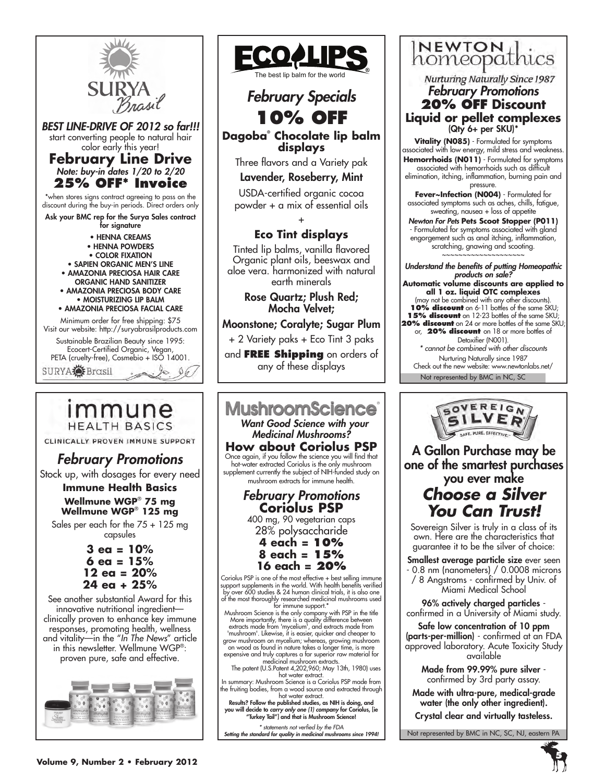



CLINICALLY PROVEN IMMUNE SUPPORT

# *February Promotions*

Stock up, with dosages for every need

### **Immune Health Basics Wellmune WGP**®  **75 mg**

**Wellmune WGP**®  **125 mg** Sales per each for the 75 + 125 mg capsules

> **3 ea = 10% 6 ea = 15% 12 ea = 20% 24 ea + 25%**

See another substantial Award for this innovative nutritional ingredient clinically proven to enhance key immune responses, promoting health, wellness and vitality—in the "*In The News*" article in this newsletter. Wellmune WGP®: proven pure, safe and effective.





28% polysaccharide

**4 each = 10% 8 each = 15% 16 each = 20%**

Coriolus PSP is one of the most effective + best selling immune support supplements in the world. With health benefits verified by over 600 studies & 24 human clinical trials, it is also one

of the most thoroughly researched medicinal mushrooms used<br>for immune support.\*<br>Mushroom Science is the only company with PSP in the title<br>More importantly, there is a quality difference between extracts made from 'mycelium', and extracts made from 'mushroom'. Likewise, it is easier, quicker and cheaper to grow mushroom on mycelium; whereas, growing mushroom

on wood as found in nature takes a longer time, is more expensive and truly captures a far superior raw material for medicinal mushroom extracts.<br>The patent (U.S.Patent 4,202,960; May 13th, 1980) uses hot water extract.

In summary: Mushroom Science is a Coriolus PSP made from the fruiting bodies, from a wood source and extracted through hot water extract.

Results? Follow the published studies, as NIH is doing, and you will decide to *carry only one (1) company* for Coriolus, [ie "Turkey Tail"] and that is Mushroom Science!

*\* statements not verfied by the FDA Setting the standard for quality in medicinal mushrooms since 1994!*



**Nurturing Naturally Since 1987** *February Promotions* **20% OFF Discount Liquid or pellet complexes** (Qty 6+ per SKU)\*

**Vitality (N085)** - Formulated for symptoms associated with low energy, mild stress and weakness. Hemorrhoids (N011) - Formulated for symptoms associated with hemorrhoids such as difficult elimination, itching, inflammation, burning pain and

pressure. **Fever~Infection (N004)** - Formulated for associated symptoms such as aches, chills, fatigue, sweating, nausea + loss of appetite

*Newton For Pets* **Pets Scoot Stopper (P011)** - Formulated for symptoms associated with gland engorgement such as anal itching, inflammation, scratching, gnawing and scooting. ~~~~~~~~~~~~~~~~~~~~

Not represented by BMC in NC, SC *Understand the benefits of putting Homeopathic products on sale?*  **Automatic volume discounts are applied to all 1 oz. liquid OTC complexes** (may not be combined with any other discounts). **10% discount** on 6-11 bottles of the same SKU; **15% discount** on 12-23 bottles of the same SKU; **20% discount** on 24 or more bottles of the same SKU; or, **20% discount** on 18 or more bottles of Detoxifier (N001). *\* cannot be combined with other discounts* Nurturing Naturally since 1987 Check out the new website: www.newtonlabs.net/



A Gallon Purchase may be one of the smartest purchases you ever make

# *Choose a Silver You Can Trust!*

Sovereign Silver is truly in a class of its own. Here are the characteristics that guarantee it to be the silver of choice:

Smallest average particle size ever seen - 0.8 nm (nanometers) / 0.0008 microns / 8 Angstroms - confirmed by Univ. of Miami Medical School

96% actively charged particles confirmed in a University of Miami study.

Safe low concentration of 10 ppm (parts-per-million) - confirmed at an FDA approved laboratory. Acute Toxicity Study available

Made from 99.99% pure silver confirmed by 3rd party assay.

Made with ultra-pure, medical-grade water (the only other ingredient).

Crystal clear and virtually tasteless.

Not represented by BMC in NC, SC, NJ, eastern PA

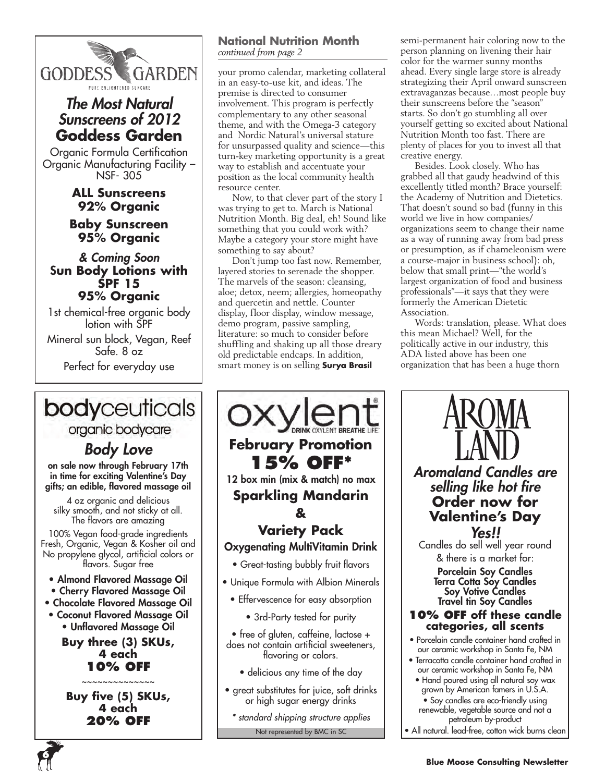

# *The Most Natural Sunscreens of 2012* **Goddess Garden**

Organic Formula Certification Organic Manufacturing Facility – NSF- 305

# **ALL Sunscreens 92% Organic**

### **Baby Sunscreen 95% Organic**

### *& Coming Soon* S**un Body Lotions with SPF 15 95% Organic**

1st chemical-free organic body lotion with SPF

Mineral sun block, Vegan, Reef Safe. 8 oz Perfect for everyday use

# bodyceuticals

### organic bodycare

# *Body Love*

on sale now through February 17th in time for exciting Valentine's Day gifts; an edible, flavored massage oil

4 oz organic and delicious silky smooth, and not sticky at all. The flavors are amazing

100% Vegan food-grade ingredients Fresh, Organic, Vegan & Kosher oil and No propylene glycol, artificial colors or flavors. Sugar free

- Almond Flavored Massage Oil
- Cherry Flavored Massage Oil
- Chocolate Flavored Massage Oil
- Coconut Flavored Massage Oil • Unflavored Massage Oil

**Buy three (3) SKUs, 4 each 10% OFF**

~~~~~~~~~~~~~~

**Buy five (5) SKUs, 4 each 20% OFF**

**6**

### **National Nutrition Month** *continued from page 2*

your promo calendar, marketing collateral in an easy-to-use kit, and ideas. The premise is directed to consumer involvement. This program is perfectly complementary to any other seasonal theme, and with the Omega-3 category and Nordic Natural's universal stature for unsurpassed quality and science—this turn-key marketing opportunity is a great way to establish and accentuate your position as the local community health resource center.

Now, to that clever part of the story I was trying to get to. March is National Nutrition Month. Big deal, eh! Sound like something that you could work with? Maybe a category your store might have something to say about?

Don't jump too fast now. Remember, layered stories to serenade the shopper. The marvels of the season: cleansing, aloe; detox, neem; allergies, homeopathy and quercetin and nettle. Counter display, floor display, window message, demo program, passive sampling, literature: so much to consider before shuffling and shaking up all those dreary old predictable endcaps. In addition, smart money is on selling **Surya Brasil**



semi-permanent hair coloring now to the person planning on livening their hair color for the warmer sunny months ahead. Every single large store is already strategizing their April onward sunscreen extravaganzas because…most people buy their sunscreens before the "season" starts. So don't go stumbling all over yourself getting so excited about National Nutrition Month too fast. There are plenty of places for you to invest all that creative energy.

Besides. Look closely. Who has grabbed all that gaudy headwind of this excellently titled month? Brace yourself: the Academy of Nutrition and Dietetics. That doesn't sound so bad (funny in this world we live in how companies/ organizations seem to change their name as a way of running away from bad press or presumption, as if chameleonism were a course-major in business school): oh, below that small print—"the world's largest organization of food and business professionals"—it says that they were formerly the American Dietetic Association.

Words: translation, please. What does this mean Michael? Well, for the politically active in our industry, this ADA listed above has been one organization that has been a huge thorn

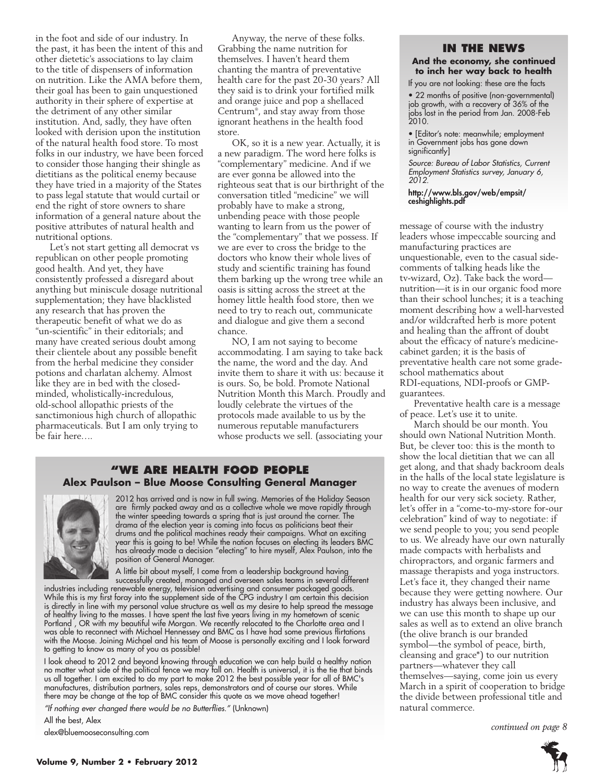in the foot and side of our industry. In the past, it has been the intent of this and other dietetic's associations to lay claim to the title of dispensers of information on nutrition. Like the AMA before them, their goal has been to gain unquestioned authority in their sphere of expertise at the detriment of any other similar institution. And, sadly, they have often looked with derision upon the institution of the natural health food store. To most folks in our industry, we have been forced to consider those hanging their shingle as dietitians as the political enemy because they have tried in a majority of the States to pass legal statute that would curtail or end the right of store owners to share information of a general nature about the positive attributes of natural health and nutritional options.

Let's not start getting all democrat vs republican on other people promoting good health. And yet, they have consistently professed a disregard about anything but miniscule dosage nutritional supplementation; they have blacklisted any research that has proven the therapeutic benefit of what we do as "un-scientific" in their editorials; and many have created serious doubt among their clientele about any possible benefit from the herbal medicine they consider potions and charlatan alchemy. Almost like they are in bed with the closedminded, wholistically-incredulous, old-school allopathic priests of the sanctimonious high church of allopathic pharmaceuticals. But I am only trying to be fair here….

Anyway, the nerve of these folks. Grabbing the name nutrition for themselves. I haven't heard them chanting the mantra of preventative health care for the past 20-30 years? All they said is to drink your fortified milk and orange juice and pop a shellaced Centrum® , and stay away from those ignorant heathens in the health food store.

OK, so it is a new year. Actually, it is a new paradigm. The word here folks is "complementary" medicine. And if we are ever gonna be allowed into the righteous seat that is our birthright of the conversation titled "medicine" we will probably have to make a strong, unbending peace with those people wanting to learn from us the power of the "complementary" that we possess. If we are ever to cross the bridge to the doctors who know their whole lives of study and scientific training has found them barking up the wrong tree while an oasis is sitting across the street at the homey little health food store, then we need to try to reach out, communicate and dialogue and give them a second chance.

NO, I am not saying to become accommodating. I am saying to take back the name, the word and the day. And invite them to share it with us: because it is ours. So, be bold. Promote National Nutrition Month this March. Proudly and loudly celebrate the virtues of the protocols made available to us by the numerous reputable manufacturers whose products we sell. (associating your

#### **"We Are health food people Alex Paulson – Blue Moose Consulting General Manager**



2012 has arrived and is now in full swing. Memories of the Holiday Season are firmly packed away and as a collective whole we move rapidly through the winter speeding towards a spring that is just around the corner. The drama of the election year is coming into focus as politicians beat their drums and the political machines ready their campaigns. What an exciting year this is going to be! While the nation focuses on electing its leaders BMC has already made a decision "electing" to hire myself, Alex Paulson, into the position of General Manager.

A little bit about myself, I come from a leadership background having successfully created, managed and overseen sales teams in several different

industries including renewable energy, television advertising and consumer packaged goods. While this is my first foray into the supplement side of the CPG industry I am certain this decision is directly in line with my personal value structure as well as my desire to help spread the message of healthy living to the masses. I have spent the last five years living in my hometown of scenic Portland , OR with my beautiful wife Morgan. We recently relocated to the Charlotte area and I was able to reconnect with Michael Hennessey and BMC as I have had some previous flirtations with the Moose. Joining Michael and his team of Moose is personally exciting and I look forward to getting to know as many of you as possible!

I look ahead to 2012 and beyond knowing through education we can help build a healthy nation no matter what side of the political fence we may fall on. Health is universal, it is the tie that binds us all together. I am excited to do my part to make 2012 the best possible year for all of BMC's manufactures, distribution partners, sales reps, demonstrators and of course our stores. While there may be change at the top of BMC consider this quote as we move ahead together!

*"If nothing ever changed there would be no Butterflies."* (Unknown)

All the best, Alex alex@bluemooseconsulting.com

#### **In the News**

#### **And the economy, she continued to inch her way back to health**

If you are not looking: these are the facts

• 22 months of positive (non-governmental) job growth, with a recovery of 36% of the jobs lost in the period from Jan. 2008-Feb 2010.

• [Editor's note: meanwhile; employment in Government jobs has gone down significantly]

*Source: Bureau of Labor Statistics, Current Employment Statistics survey, January 6, 2012.*

http://www.bls.gov/web/empsit/ ceshighlights.pdf

message of course with the industry leaders whose impeccable sourcing and manufacturing practices are unquestionable, even to the casual sidecomments of talking heads like the tv-wizard, Oz). Take back the word nutrition—it is in our organic food more than their school lunches; it is a teaching moment describing how a well-harvested and/or wildcrafted herb is more potent and healing than the affront of doubt about the efficacy of nature's medicinecabinet garden; it is the basis of preventative health care not some gradeschool mathematics about RDI-equations, NDI-proofs or GMPguarantees.

Preventative health care is a message of peace. Let's use it to unite.

March should be our month. You should own National Nutrition Month. But, be clever too: this is the month to show the local dietitian that we can all get along, and that shady backroom deals in the halls of the local state legislature is no way to create the avenues of modern health for our very sick society. Rather, let's offer in a "come-to-my-store for-our celebration" kind of way to negotiate: if we send people to you; you send people to us. We already have our own naturally made compacts with herbalists and chiropractors, and organic farmers and massage therapists and yoga instructors. Let's face it, they changed their name because they were getting nowhere. Our industry has always been inclusive, and we can use this month to shape up our sales as well as to extend an olive branch (the olive branch is our branded symbol—the symbol of peace, birth, cleansing and grace\*) to our nutrition partners—whatever they call themselves—saying, come join us every March in a spirit of cooperation to bridge the divide between professional title and natural commerce.

*continued on page 8*